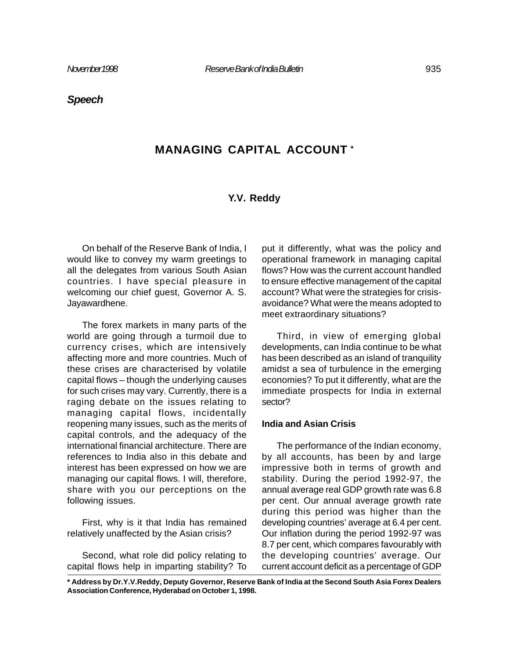## *Speech*

# **MANAGING CAPITAL ACCOUNT \***

## **Y.V. Reddy**

On behalf of the Reserve Bank of India, I would like to convey my warm greetings to all the delegates from various South Asian countries. I have special pleasure in welcoming our chief guest, Governor A. S. Jayawardhene.

The forex markets in many parts of the world are going through a turmoil due to currency crises, which are intensively affecting more and more countries. Much of these crises are characterised by volatile capital flows – though the underlying causes for such crises may vary. Currently, there is a raging debate on the issues relating to managing capital flows, incidentally reopening many issues, such as the merits of capital controls, and the adequacy of the international financial architecture. There are references to India also in this debate and interest has been expressed on how we are managing our capital flows. I will, therefore, share with you our perceptions on the following issues.

First, why is it that India has remained relatively unaffected by the Asian crisis?

Second, what role did policy relating to capital flows help in imparting stability? To put it differently, what was the policy and operational framework in managing capital flows? How was the current account handled to ensure effective management of the capital account? What were the strategies for crisisavoidance? What were the means adopted to meet extraordinary situations?

Third, in view of emerging global developments, can India continue to be what has been described as an island of tranquility amidst a sea of turbulence in the emerging economies? To put it differently, what are the immediate prospects for India in external sector?

#### **India and Asian Crisis**

The performance of the Indian economy, by all accounts, has been by and large impressive both in terms of growth and stability. During the period 1992-97, the annual average real GDP growth rate was 6.8 per cent. Our annual average growth rate during this period was higher than the developing countries' average at 6.4 per cent. Our inflation during the period 1992-97 was 8.7 per cent, which compares favourably with the developing countries' average. Our current account deficit as a percentage of GDP

**\* Address by Dr.Y.V.Reddy, Deputy Governor, Reserve Bank of India at the Second South Asia Forex Dealers Association Conference, Hyderabad on October 1, 1998.**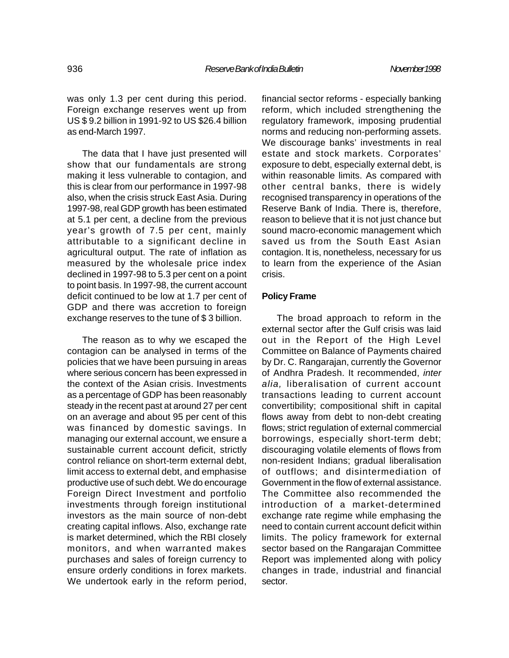was only 1.3 per cent during this period. Foreign exchange reserves went up from US \$ 9.2 billion in 1991-92 to US \$26.4 billion as end-March 1997.

The data that I have just presented will show that our fundamentals are strong making it less vulnerable to contagion, and this is clear from our performance in 1997-98 also, when the crisis struck East Asia. During 1997-98, real GDP growth has been estimated at 5.1 per cent, a decline from the previous year's growth of 7.5 per cent, mainly attributable to a significant decline in agricultural output. The rate of inflation as measured by the wholesale price index declined in 1997-98 to 5.3 per cent on a point to point basis. In 1997-98, the current account deficit continued to be low at 1.7 per cent of GDP and there was accretion to foreign exchange reserves to the tune of \$ 3 billion.

The reason as to why we escaped the contagion can be analysed in terms of the policies that we have been pursuing in areas where serious concern has been expressed in the context of the Asian crisis. Investments as a percentage of GDP has been reasonably steady in the recent past at around 27 per cent on an average and about 95 per cent of this was financed by domestic savings. In managing our external account, we ensure a sustainable current account deficit, strictly control reliance on short-term external debt, limit access to external debt, and emphasise productive use of such debt. We do encourage Foreign Direct Investment and portfolio investments through foreign institutional investors as the main source of non-debt creating capital inflows. Also, exchange rate is market determined, which the RBI closely monitors, and when warranted makes purchases and sales of foreign currency to ensure orderly conditions in forex markets. We undertook early in the reform period,

financial sector reforms - especially banking reform, which included strengthening the regulatory framework, imposing prudential norms and reducing non-performing assets. We discourage banks' investments in real estate and stock markets. Corporates' exposure to debt, especially external debt, is within reasonable limits. As compared with other central banks, there is widely recognised transparency in operations of the Reserve Bank of India. There is, therefore, reason to believe that it is not just chance but sound macro-economic management which saved us from the South East Asian contagion. It is, nonetheless, necessary for us to learn from the experience of the Asian crisis.

### **Policy Frame**

The broad approach to reform in the external sector after the Gulf crisis was laid out in the Report of the High Level Committee on Balance of Payments chaired by Dr. C. Rangarajan, currently the Governor of Andhra Pradesh. It recommended, *inter alia,* liberalisation of current account transactions leading to current account convertibility; compositional shift in capital flows away from debt to non-debt creating flows; strict regulation of external commercial borrowings, especially short-term debt; discouraging volatile elements of flows from non-resident Indians; gradual liberalisation of outflows; and disintermediation of Government in the flow of external assistance. The Committee also recommended the introduction of a market-determined exchange rate regime while emphasing the need to contain current account deficit within limits. The policy framework for external sector based on the Rangarajan Committee Report was implemented along with policy changes in trade, industrial and financial sector.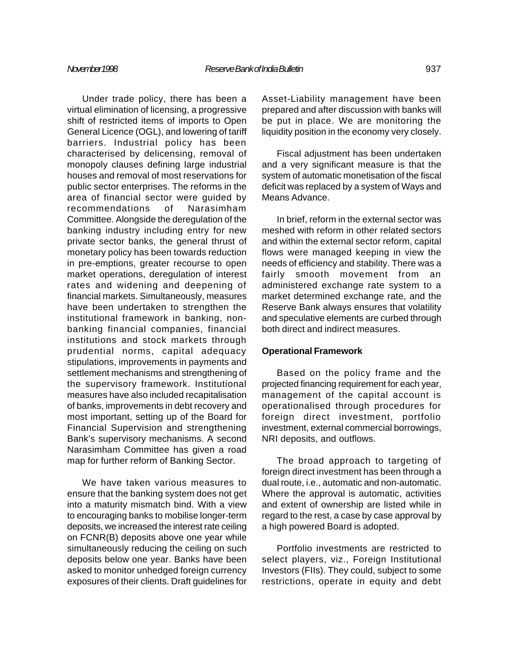Under trade policy, there has been a virtual elimination of licensing, a progressive shift of restricted items of imports to Open General Licence (OGL), and lowering of tariff barriers. Industrial policy has been characterised by delicensing, removal of monopoly clauses defining large industrial houses and removal of most reservations for public sector enterprises. The reforms in the area of financial sector were guided by recommendations of Narasimham Committee. Alongside the deregulation of the banking industry including entry for new private sector banks, the general thrust of monetary policy has been towards reduction in pre-emptions, greater recourse to open market operations, deregulation of interest rates and widening and deepening of financial markets. Simultaneously, measures have been undertaken to strengthen the institutional framework in banking, nonbanking financial companies, financial institutions and stock markets through prudential norms, capital adequacy stipulations, improvements in payments and settlement mechanisms and strengthening of the supervisory framework. Institutional measures have also included recapitalisation of banks, improvements in debt recovery and most important, setting up of the Board for Financial Supervision and strengthening Bank's supervisory mechanisms. A second Narasimham Committee has given a road map for further reform of Banking Sector.

We have taken various measures to ensure that the banking system does not get into a maturity mismatch bind. With a view to encouraging banks to mobilise longer-term deposits, we increased the interest rate ceiling on FCNR(B) deposits above one year while simultaneously reducing the ceiling on such deposits below one year. Banks have been asked to monitor unhedged foreign currency exposures of their clients. Draft guidelines for Asset-Liability management have been prepared and after discussion with banks will be put in place. We are monitoring the liquidity position in the economy very closely.

Fiscal adjustment has been undertaken and a very significant measure is that the system of automatic monetisation of the fiscal deficit was replaced by a system of Ways and Means Advance.

In brief, reform in the external sector was meshed with reform in other related sectors and within the external sector reform, capital flows were managed keeping in view the needs of efficiency and stability. There was a fairly smooth movement from an administered exchange rate system to a market determined exchange rate, and the Reserve Bank always ensures that volatility and speculative elements are curbed through both direct and indirect measures.

#### **Operational Framework**

Based on the policy frame and the projected financing requirement for each year, management of the capital account is operationalised through procedures for foreign direct investment, portfolio investment, external commercial borrowings, NRI deposits, and outflows.

The broad approach to targeting of foreign direct investment has been through a dual route, i.e., automatic and non-automatic. Where the approval is automatic, activities and extent of ownership are listed while in regard to the rest, a case by case approval by a high powered Board is adopted.

Portfolio investments are restricted to select players, viz., Foreign Institutional Investors (FIIs). They could, subject to some restrictions, operate in equity and debt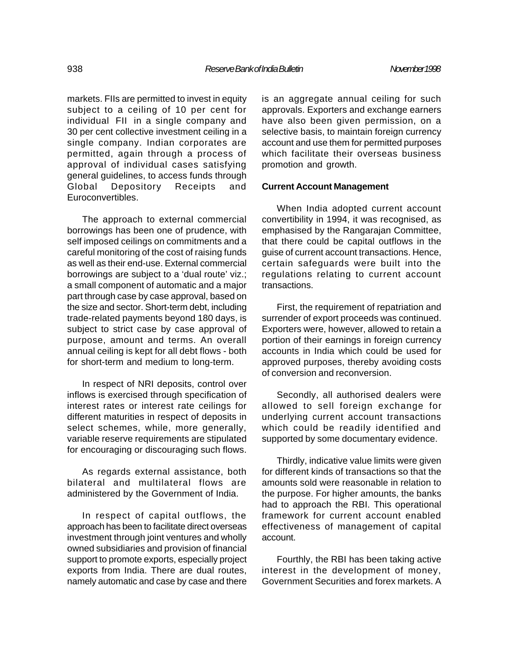markets. FIIs are permitted to invest in equity subject to a ceiling of 10 per cent for individual FII in a single company and 30 per cent collective investment ceiling in a single company. Indian corporates are permitted, again through a process of approval of individual cases satisfying general guidelines, to access funds through Global Depository Receipts and Euroconvertibles.

The approach to external commercial borrowings has been one of prudence, with self imposed ceilings on commitments and a careful monitoring of the cost of raising funds as well as their end-use. External commercial borrowings are subject to a 'dual route' viz.; a small component of automatic and a major part through case by case approval, based on the size and sector. Short-term debt, including trade-related payments beyond 180 days, is subject to strict case by case approval of purpose, amount and terms. An overall annual ceiling is kept for all debt flows - both for short-term and medium to long-term.

In respect of NRI deposits, control over inflows is exercised through specification of interest rates or interest rate ceilings for different maturities in respect of deposits in select schemes, while, more generally, variable reserve requirements are stipulated for encouraging or discouraging such flows.

As regards external assistance, both bilateral and multilateral flows are administered by the Government of India.

In respect of capital outflows, the approach has been to facilitate direct overseas investment through joint ventures and wholly owned subsidiaries and provision of financial support to promote exports, especially project exports from India. There are dual routes, namely automatic and case by case and there is an aggregate annual ceiling for such approvals. Exporters and exchange earners have also been given permission, on a selective basis, to maintain foreign currency account and use them for permitted purposes which facilitate their overseas business promotion and growth.

#### **Current Account Management**

When India adopted current account convertibility in 1994, it was recognised, as emphasised by the Rangarajan Committee, that there could be capital outflows in the guise of current account transactions. Hence, certain safeguards were built into the regulations relating to current account transactions.

First, the requirement of repatriation and surrender of export proceeds was continued. Exporters were, however, allowed to retain a portion of their earnings in foreign currency accounts in India which could be used for approved purposes, thereby avoiding costs of conversion and reconversion.

Secondly, all authorised dealers were allowed to sell foreign exchange for underlying current account transactions which could be readily identified and supported by some documentary evidence.

Thirdly, indicative value limits were given for different kinds of transactions so that the amounts sold were reasonable in relation to the purpose. For higher amounts, the banks had to approach the RBI. This operational framework for current account enabled effectiveness of management of capital account.

Fourthly, the RBI has been taking active interest in the development of money, Government Securities and forex markets. A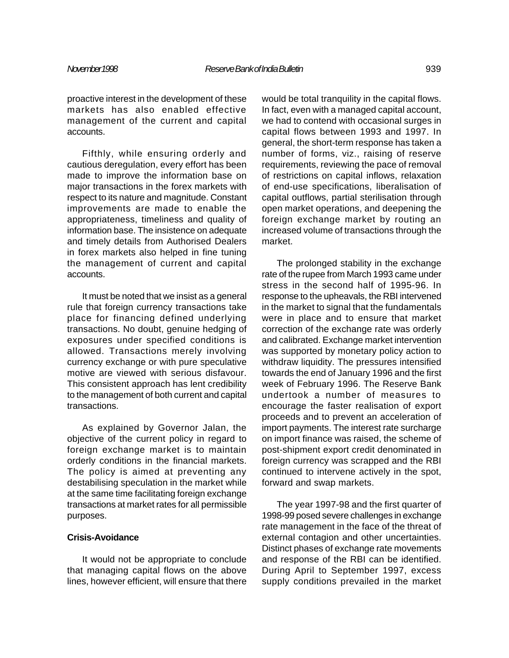proactive interest in the development of these markets has also enabled effective management of the current and capital accounts.

Fifthly, while ensuring orderly and cautious deregulation, every effort has been made to improve the information base on major transactions in the forex markets with respect to its nature and magnitude. Constant improvements are made to enable the appropriateness, timeliness and quality of information base. The insistence on adequate and timely details from Authorised Dealers in forex markets also helped in fine tuning the management of current and capital accounts.

It must be noted that we insist as a general rule that foreign currency transactions take place for financing defined underlying transactions. No doubt, genuine hedging of exposures under specified conditions is allowed. Transactions merely involving currency exchange or with pure speculative motive are viewed with serious disfavour. This consistent approach has lent credibility to the management of both current and capital transactions.

As explained by Governor Jalan, the objective of the current policy in regard to foreign exchange market is to maintain orderly conditions in the financial markets. The policy is aimed at preventing any destabilising speculation in the market while at the same time facilitating foreign exchange transactions at market rates for all permissible purposes.

## **Crisis-Avoidance**

It would not be appropriate to conclude that managing capital flows on the above lines, however efficient, will ensure that there

would be total tranquility in the capital flows. In fact, even with a managed capital account, we had to contend with occasional surges in capital flows between 1993 and 1997. In general, the short-term response has taken a number of forms, viz., raising of reserve requirements, reviewing the pace of removal of restrictions on capital inflows, relaxation of end-use specifications, liberalisation of capital outflows, partial sterilisation through open market operations, and deepening the foreign exchange market by routing an increased volume of transactions through the market.

The prolonged stability in the exchange rate of the rupee from March 1993 came under stress in the second half of 1995-96. In response to the upheavals, the RBI intervened in the market to signal that the fundamentals were in place and to ensure that market correction of the exchange rate was orderly and calibrated. Exchange market intervention was supported by monetary policy action to withdraw liquidity. The pressures intensified towards the end of January 1996 and the first week of February 1996. The Reserve Bank undertook a number of measures to encourage the faster realisation of export proceeds and to prevent an acceleration of import payments. The interest rate surcharge on import finance was raised, the scheme of post-shipment export credit denominated in foreign currency was scrapped and the RBI continued to intervene actively in the spot, forward and swap markets.

The year 1997-98 and the first quarter of 1998-99 posed severe challenges in exchange rate management in the face of the threat of external contagion and other uncertainties. Distinct phases of exchange rate movements and response of the RBI can be identified. During April to September 1997, excess supply conditions prevailed in the market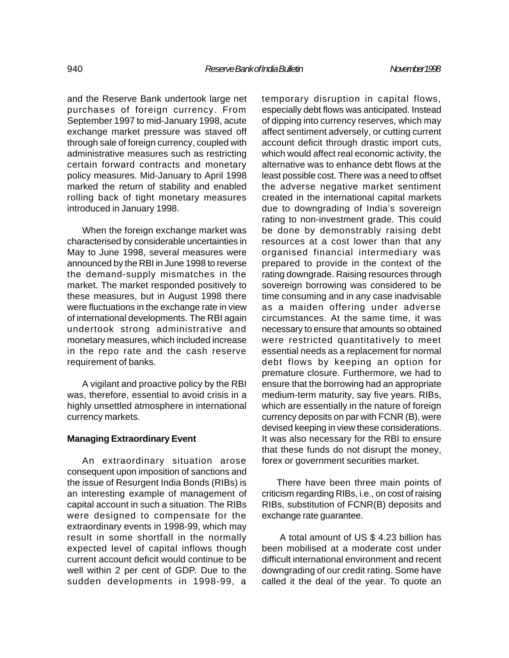and the Reserve Bank undertook large net purchases of foreign currency. From September 1997 to mid-January 1998, acute exchange market pressure was staved off through sale of foreign currency, coupled with administrative measures such as restricting certain forward contracts and monetary policy measures. Mid-January to April 1998 marked the return of stability and enabled rolling back of tight monetary measures introduced in January 1998.

When the foreign exchange market was characterised by considerable uncertainties in May to June 1998, several measures were announced by the RBI in June 1998 to reverse the demand-supply mismatches in the market. The market responded positively to these measures, but in August 1998 there were fluctuations in the exchange rate in view of international developments. The RBI again undertook strong administrative and monetary measures, which included increase in the repo rate and the cash reserve requirement of banks.

A vigilant and proactive policy by the RBI was, therefore, essential to avoid crisis in a highly unsettled atmosphere in international currency markets.

## **Managing Extraordinary Event**

An extraordinary situation arose consequent upon imposition of sanctions and the issue of Resurgent India Bonds (RIBs) is an interesting example of management of capital account in such a situation. The RIBs were designed to compensate for the extraordinary events in 1998-99, which may result in some shortfall in the normally expected level of capital inflows though current account deficit would continue to be well within 2 per cent of GDP. Due to the sudden developments in 1998-99, a

temporary disruption in capital flows, especially debt flows was anticipated. Instead of dipping into currency reserves, which may affect sentiment adversely, or cutting current account deficit through drastic import cuts, which would affect real economic activity, the alternative was to enhance debt flows at the least possible cost. There was a need to offset the adverse negative market sentiment created in the international capital markets due to downgrading of India's sovereign rating to non-investment grade. This could be done by demonstrably raising debt resources at a cost lower than that any organised financial intermediary was prepared to provide in the context of the rating downgrade. Raising resources through sovereign borrowing was considered to be time consuming and in any case inadvisable as a maiden offering under adverse circumstances. At the same time, it was necessary to ensure that amounts so obtained were restricted quantitatively to meet essential needs as a replacement for normal debt flows by keeping an option for premature closure. Furthermore, we had to ensure that the borrowing had an appropriate medium-term maturity, say five years. RIBs, which are essentially in the nature of foreign currency deposits on par with FCNR (B), were devised keeping in view these considerations. It was also necessary for the RBI to ensure that these funds do not disrupt the money, forex or government securities market.

There have been three main points of criticism regarding RIBs, i.e., on cost of raising RIBs, substitution of FCNR(B) deposits and exchange rate guarantee.

 A total amount of US \$ 4.23 billion has been mobilised at a moderate cost under difficult international environment and recent downgrading of our credit rating. Some have called it the deal of the year. To quote an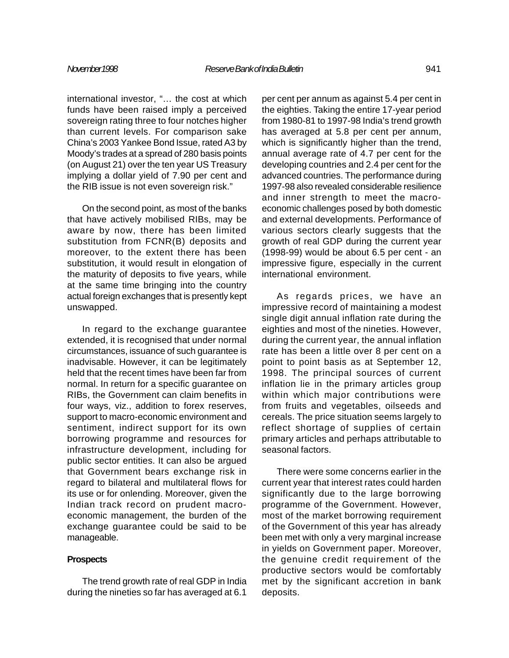international investor, "… the cost at which funds have been raised imply a perceived sovereign rating three to four notches higher than current levels. For comparison sake China's 2003 Yankee Bond Issue, rated A3 by Moody's trades at a spread of 280 basis points (on August 21) over the ten year US Treasury implying a dollar yield of 7.90 per cent and the RIB issue is not even sovereign risk."

On the second point, as most of the banks that have actively mobilised RIBs, may be aware by now, there has been limited substitution from FCNR(B) deposits and moreover, to the extent there has been substitution, it would result in elongation of the maturity of deposits to five years, while at the same time bringing into the country actual foreign exchanges that is presently kept unswapped.

In regard to the exchange guarantee extended, it is recognised that under normal circumstances, issuance of such guarantee is inadvisable. However, it can be legitimately held that the recent times have been far from normal. In return for a specific guarantee on RIBs, the Government can claim benefits in four ways, viz., addition to forex reserves, support to macro-economic environment and sentiment, indirect support for its own borrowing programme and resources for infrastructure development, including for public sector entities. It can also be argued that Government bears exchange risk in regard to bilateral and multilateral flows for its use or for onlending. Moreover, given the Indian track record on prudent macroeconomic management, the burden of the exchange guarantee could be said to be manageable.

### **Prospects**

The trend growth rate of real GDP in India during the nineties so far has averaged at 6.1

per cent per annum as against 5.4 per cent in the eighties. Taking the entire 17-year period from 1980-81 to 1997-98 India's trend growth has averaged at 5.8 per cent per annum, which is significantly higher than the trend, annual average rate of 4.7 per cent for the developing countries and 2.4 per cent for the advanced countries. The performance during 1997-98 also revealed considerable resilience and inner strength to meet the macroeconomic challenges posed by both domestic and external developments. Performance of various sectors clearly suggests that the growth of real GDP during the current year (1998-99) would be about 6.5 per cent - an impressive figure, especially in the current international environment.

As regards prices, we have an impressive record of maintaining a modest single digit annual inflation rate during the eighties and most of the nineties. However, during the current year, the annual inflation rate has been a little over 8 per cent on a point to point basis as at September 12, 1998. The principal sources of current inflation lie in the primary articles group within which major contributions were from fruits and vegetables, oilseeds and cereals. The price situation seems largely to reflect shortage of supplies of certain primary articles and perhaps attributable to seasonal factors.

There were some concerns earlier in the current year that interest rates could harden significantly due to the large borrowing programme of the Government. However, most of the market borrowing requirement of the Government of this year has already been met with only a very marginal increase in yields on Government paper. Moreover, the genuine credit requirement of the productive sectors would be comfortably met by the significant accretion in bank deposits.